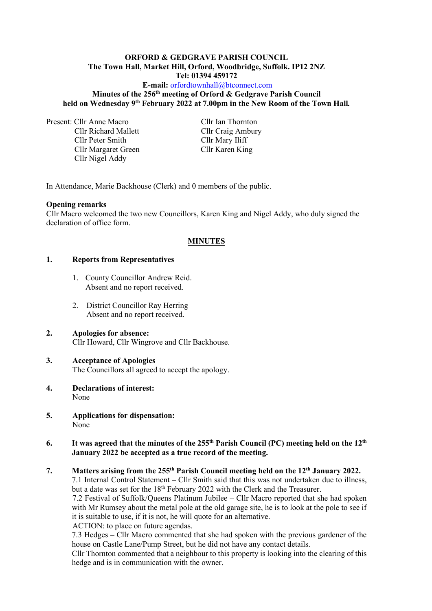# **ORFORD & GEDGRAVE PARISH COUNCIL The Town Hall, Market Hill, Orford, Woodbridge, Suffolk. IP12 2NZ**

**Tel: 01394 459172**

### **E-mail:** [orfordtownhall@btconnect.com](mailto:orfordtownhall@btconnect.com) **Minutes of the 256 th meeting of Orford & Gedgrave Parish Council held on Wednesday 9 th February 2022 at 7.00pm in the New Room of the Town Hall***.*

Present: Cllr Anne Macro Cllr Ian Thornton

Cllr Richard Mallett Cllr Craig Ambury Cllr Peter Smith Cllr Mary Iliff Cllr Margaret Green Cllr Karen King Cllr Nigel Addy

In Attendance, Marie Backhouse (Clerk) and 0 members of the public.

#### **Opening remarks**

Cllr Macro welcomed the two new Councillors, Karen King and Nigel Addy, who duly signed the declaration of office form.

# **MINUTES**

### **1. Reports from Representatives**

- 1. County Councillor Andrew Reid. Absent and no report received.
- 2. District Councillor Ray Herring Absent and no report received.

# **2. Apologies for absence:**

Cllr Howard, Cllr Wingrove and Cllr Backhouse.

# **3. Acceptance of Apologies**

The Councillors all agreed to accept the apology.

- **4. Declarations of interest:** None
- **5. Applications for dispensation:** None

### **6.** It was agreed that the minutes of the 255<sup>th</sup> Parish Council (PC) meeting held on the 12<sup>th</sup> **January 2022 be accepted as a true record of the meeting.**

# **7. Matters arising from the 255 th Parish Council meeting held on the 12 th January 2022.**

7.1 Internal Control Statement – Cllr Smith said that this was not undertaken due to illness, but a date was set for the 18<sup>th</sup> February 2022 with the Clerk and the Treasurer.

7.2 Festival of Suffolk/Queens Platinum Jubilee – Cllr Macro reported that she had spoken with Mr Rumsey about the metal pole at the old garage site, he is to look at the pole to see if it is suitable to use, if it is not, he will quote for an alternative.

ACTION: to place on future agendas.

7.3 Hedges – Cllr Macro commented that she had spoken with the previous gardener of the house on Castle Lane/Pump Street, but he did not have any contact details.

Cllr Thornton commented that a neighbour to this property is looking into the clearing of this hedge and is in communication with the owner.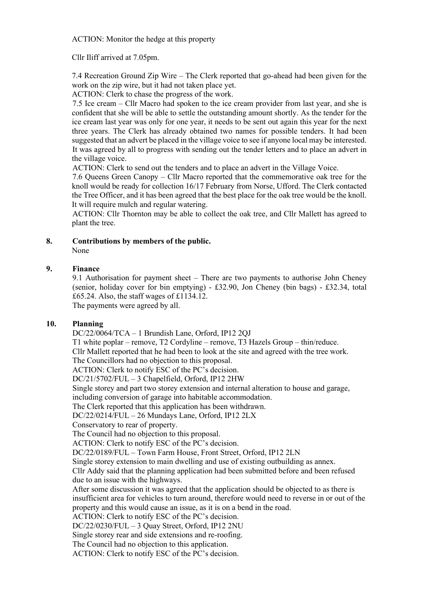ACTION: Monitor the hedge at this property

Cllr Iliff arrived at 7.05pm.

7.4 Recreation Ground Zip Wire – The Clerk reported that go-ahead had been given for the work on the zip wire, but it had not taken place yet.

ACTION: Clerk to chase the progress of the work.

7.5 Ice cream – Cllr Macro had spoken to the ice cream provider from last year, and she is confident that she will be able to settle the outstanding amount shortly. As the tender for the ice cream last year was only for one year, it needs to be sent out again this year for the next three years. The Clerk has already obtained two names for possible tenders. It had been suggested that an advert be placed in the village voice to see if anyone local may be interested. It was agreed by all to progress with sending out the tender letters and to place an advert in the village voice.

ACTION: Clerk to send out the tenders and to place an advert in the Village Voice.

7.6 Queens Green Canopy – Cllr Macro reported that the commemorative oak tree for the knoll would be ready for collection 16/17 February from Norse, Ufford. The Clerk contacted the Tree Officer, and it has been agreed that the best place for the oak tree would be the knoll. It will require mulch and regular watering.

ACTION: Cllr Thornton may be able to collect the oak tree, and Cllr Mallett has agreed to plant the tree.

#### **8. Contributions by members of the public.**

None

### **9. Finance**

9.1 Authorisation for payment sheet – There are two payments to authorise John Cheney (senior, holiday cover for bin emptying) - £32.90, Jon Cheney (bin bags) - £32.34, total £65.24. Also, the staff wages of £1134.12. The payments were agreed by all.

#### **10. Planning**

DC/22/0064/TCA – 1 Brundish Lane, Orford, IP12 2QJ

T1 white poplar – remove, T2 Cordyline – remove, T3 Hazels Group – thin/reduce. Cllr Mallett reported that he had been to look at the site and agreed with the tree work. The Councillors had no objection to this proposal.

ACTION: Clerk to notify ESC of the PC's decision.

DC/21/5702/FUL – 3 Chapelfield, Orford, IP12 2HW

Single storey and part two storey extension and internal alteration to house and garage,

including conversion of garage into habitable accommodation.

The Clerk reported that this application has been withdrawn.

DC/22/0214/FUL – 26 Mundays Lane, Orford, IP12 2LX

Conservatory to rear of property.

The Council had no objection to this proposal.

ACTION: Clerk to notify ESC of the PC's decision.

DC/22/0189/FUL – Town Farm House, Front Street, Orford, IP12 2LN

Single storey extension to main dwelling and use of existing outbuilding as annex.

Cllr Addy said that the planning application had been submitted before and been refused due to an issue with the highways.

After some discussion it was agreed that the application should be objected to as there is insufficient area for vehicles to turn around, therefore would need to reverse in or out of the property and this would cause an issue, as it is on a bend in the road.

ACTION: Clerk to notify ESC of the PC's decision.

DC/22/0230/FUL – 3 Quay Street, Orford, IP12 2NU

Single storey rear and side extensions and re-roofing.

The Council had no objection to this application.

ACTION: Clerk to notify ESC of the PC's decision.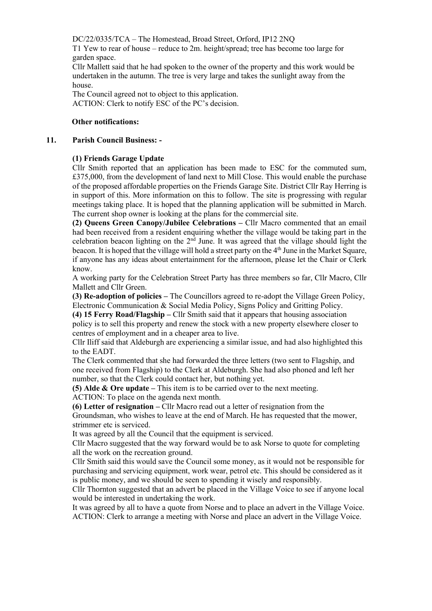DC/22/0335/TCA – The Homestead, Broad Street, Orford, IP12 2NQ

T1 Yew to rear of house – reduce to 2m. height/spread; tree has become too large for garden space.

Cllr Mallett said that he had spoken to the owner of the property and this work would be undertaken in the autumn. The tree is very large and takes the sunlight away from the house.

The Council agreed not to object to this application. ACTION: Clerk to notify ESC of the PC's decision.

### **Other notifications:**

#### **11. Parish Council Business: -**

#### **(1) Friends Garage Update**

Cllr Smith reported that an application has been made to ESC for the commuted sum, £375,000, from the development of land next to Mill Close. This would enable the purchase of the proposed affordable properties on the Friends Garage Site. District Cllr Ray Herring is in support of this. More information on this to follow. The site is progressing with regular meetings taking place. It is hoped that the planning application will be submitted in March. The current shop owner is looking at the plans for the commercial site.

**(2) Queens Green Canopy/Jubilee Celebrations –** Cllr Macro commented that an email had been received from a resident enquiring whether the village would be taking part in the celebration beacon lighting on the  $2<sup>nd</sup>$  June. It was agreed that the village should light the beacon. It is hoped that the village will hold a street party on the 4<sup>th</sup> June in the Market Square, if anyone has any ideas about entertainment for the afternoon, please let the Chair or Clerk know.

A working party for the Celebration Street Party has three members so far, Cllr Macro, Cllr Mallett and Cllr Green.

**(3) Re-adoption of policies –** The Councillors agreed to re-adopt the Village Green Policy, Electronic Communication & Social Media Policy, Signs Policy and Gritting Policy.

**(4) 15 Ferry Road/Flagship –** Cllr Smith said that it appears that housing association

policy is to sell this property and renew the stock with a new property elsewhere closer to centres of employment and in a cheaper area to live.

Cllr Iliff said that Aldeburgh are experiencing a similar issue, and had also highlighted this to the EADT.

The Clerk commented that she had forwarded the three letters (two sent to Flagship, and one received from Flagship) to the Clerk at Aldeburgh. She had also phoned and left her number, so that the Clerk could contact her, but nothing yet.

**(5) Alde & Ore update –** This item is to be carried over to the next meeting. ACTION: To place on the agenda next month.

**(6) Letter of resignation –** Cllr Macro read out a letter of resignation from the

Groundsman, who wishes to leave at the end of March. He has requested that the mower, strimmer etc is serviced.

It was agreed by all the Council that the equipment is serviced.

Cllr Macro suggested that the way forward would be to ask Norse to quote for completing all the work on the recreation ground.

Cllr Smith said this would save the Council some money, as it would not be responsible for purchasing and servicing equipment, work wear, petrol etc. This should be considered as it is public money, and we should be seen to spending it wisely and responsibly.

Cllr Thornton suggested that an advert be placed in the Village Voice to see if anyone local would be interested in undertaking the work.

It was agreed by all to have a quote from Norse and to place an advert in the Village Voice. ACTION: Clerk to arrange a meeting with Norse and place an advert in the Village Voice.